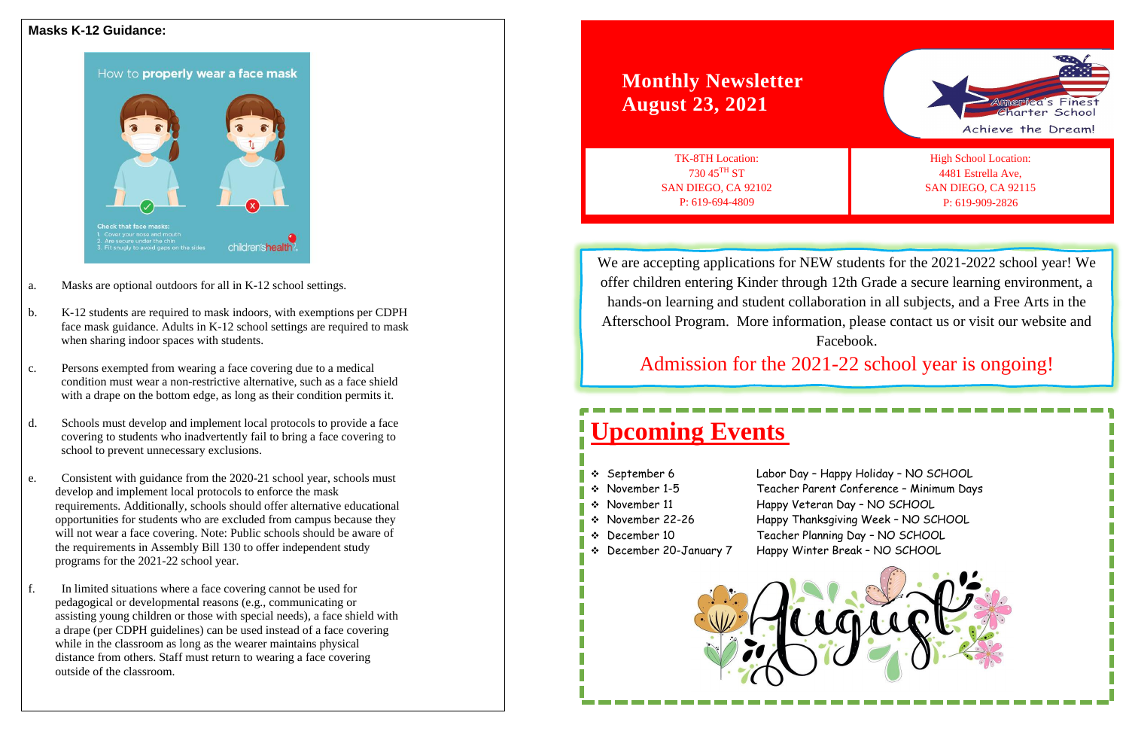# **Upcoming Events**

❖ September 6 Labor Day – Happy Holiday – NO SCHOOL ❖ November 1-5 Teacher Parent Conference – Minimum Days ❖ November 11 Happy Veteran Day – NO SCHOOL ❖ November 22-26 Happy Thanksgiving Week – NO SCHOOL ❖ December 10 Teacher Planning Day – NO SCHOOL

- 
- 
- 
- 
- 
- ❖ December 20-January 7 Happy Winter Break NO SCHOOL
- 



# **Monthly Newsletter August 23, 2021**

TK-8TH Location: 730 45TH ST SAN DIEGO, CA 92102 P: 619-694-4809





We are accepting applications for NEW students for the 2021-2022 school year! We offer children entering Kinder through 12th Grade a secure learning environment, a hands-on learning and student collaboration in all subjects, and a Free Arts in the Afterschool Program. More information, please contact us or visit our website and Facebook.

Admission for the 2021-22 school year is ongoing!

- a. Masks are optional outdoors for all in K-12 school settings.
- b. K-12 students are required to mask indoors, with exemptions per CDPH face mask guidance. Adults in K-12 school settings are required to mask when sharing indoor spaces with students.
- c. Persons exempted from wearing a face covering due to a medical condition must wear a non-restrictive alternative, such as a face shield with a drape on the bottom edge, as long as their condition permits it.
- d. Schools must develop and implement local protocols to provide a face covering to students who inadvertently fail to bring a face covering to school to prevent unnecessary exclusions.
- e. Consistent with guidance from the 2020-21 school year, schools must develop and implement local protocols to enforce the mask requirements. Additionally, schools should offer alternative educational opportunities for students who are excluded from campus because they will not wear a face covering. Note: Public schools should be aware of the requirements in Assembly Bill 130 to offer independent study programs for the 2021-22 school year.
- f. In limited situations where a face covering cannot be used for pedagogical or developmental reasons (e.g., communicating or assisting young children or those with special needs), a face shield with a drape (per CDPH guidelines) can be used instead of a face covering while in the classroom as long as the wearer maintains physical distance from others. Staff must return to wearing a face covering outside of the classroom.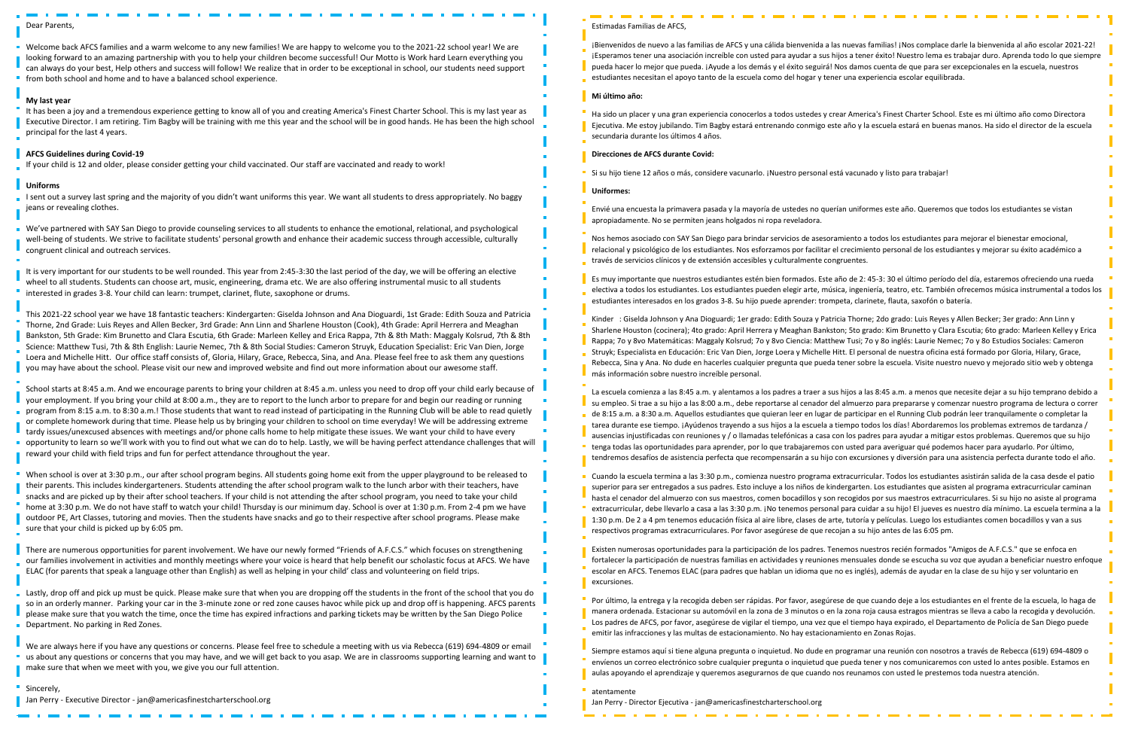#### Dear Parents,

Welcome back AFCS families and a warm welcome to any new families! We are happy to welcome you to the 2021-22 school year! We are looking forward to an amazing partnership with you to help your children become successful! Our Motto is Work hard Learn everything you can always do your best, Help others and success will follow! We realize that in order to be exceptional in school, our students need support **from both school and home and to have a balanced school experience.** 

#### **My last year**

I sent out a survey last spring and the majority of you didn't want uniforms this year. We want all students to dress appropriately. No baggy jeans or revealing clothes.

It has been a joy and a tremendous experience getting to know all of you and creating America's Finest Charter School. This is my last year as Executive Director. I am retiring. Tim Bagby will be training with me this year and the school will be in good hands. He has been the high school principal for the last 4 years.

#### **AFCS Guidelines during Covid-19**

If your child is 12 and older, please consider getting your child vaccinated. Our staff are vaccinated and ready to work!

#### **Uniforms**

We've partnered with SAY San Diego to provide counseling services to all students to enhance the emotional, relational, and psychological well-being of students. We strive to facilitate students' personal growth and enhance their academic success through accessible, culturally congruent clinical and outreach services.

It is very important for our students to be well rounded. This year from 2:45-3:30 the last period of the day, we will be offering an elective wheel to all students. Students can choose art, music, engineering, drama etc. We are also offering instrumental music to all students interested in grades 3-8. Your child can learn: trumpet, clarinet, flute, saxophone or drums.

When school is over at 3:30 p.m., our after school program begins. All students going home exit from the upper playground to be released to their parents. This includes kindergarteners. Students attending the after school program walk to the lunch arbor with their teachers, have snacks and are picked up by their after school teachers. If your child is not attending the after school program, you need to take your child home at 3:30 p.m. We do not have staff to watch your child! Thursday is our minimum day. School is over at 1:30 p.m. From 2-4 pm we have outdoor PE, Art Classes, tutoring and movies. Then the students have snacks and go to their respective after school programs. Please make sure that your child is picked up by 6:05 pm.

This 2021-22 school year we have 18 fantastic teachers: Kindergarten: Giselda Johnson and Ana Dioguardi, 1st Grade: Edith Souza and Patricia Thorne, 2nd Grade: Luis Reyes and Allen Becker, 3rd Grade: Ann Linn and Sharlene Houston (Cook), 4th Grade: April Herrera and Meaghan Bankston, 5th Grade: Kim Brunetto and Clara Escutia, 6th Grade: Marleen Kelley and Erica Rappa, 7th & 8th Math: Maggaly Kolsrud, 7th & 8th Science: Matthew Tusi, 7th & 8th English: Laurie Nemec, 7th & 8th Social Studies: Cameron Struyk, Education Specialist: Eric Van Dien, Jorge Loera and Michelle Hitt. Our office staff consists of, Gloria, Hilary, Grace, Rebecca, Sina, and Ana. Please feel free to ask them any questions you may have about the school. Please visit our new and improved website and find out more information about our awesome staff.

School starts at 8:45 a.m. And we encourage parents to bring your children at 8:45 a.m. unless you need to drop off your child early because of your employment. If you bring your child at 8:00 a.m., they are to report to the lunch arbor to prepare for and begin our reading or running program from 8:15 a.m. to 8:30 a.m.! Those students that want to read instead of participating in the Running Club will be able to read quietly or complete homework during that time. Please help us by bringing your children to school on time everyday! We will be addressing extreme tardy issues/unexcused absences with meetings and/or phone calls home to help mitigate these issues. We want your child to have every opportunity to learn so we'll work with you to find out what we can do to help. Lastly, we will be having perfect attendance challenges that will reward your child with field trips and fun for perfect attendance throughout the year.

There are numerous opportunities for parent involvement. We have our newly formed "Friends of A.F.C.S." which focuses on strengthening our families involvement in activities and monthly meetings where your voice is heard that help benefit our scholastic focus at AFCS. We have ELAC (for parents that speak a language other than English) as well as helping in your child' class and volunteering on field trips.

Lastly, drop off and pick up must be quick. Please make sure that when you are dropping off the students in the front of the school that you do so in an orderly manner. Parking your car in the 3-minute zone or red zone causes havoc while pick up and drop off is happening. AFCS parents please make sure that you watch the time, once the time has expired infractions and parking tickets may be written by the San Diego Police Department. No parking in Red Zones.

We are always here if you have any questions or concerns. Please feel free to schedule a meeting with us via Rebecca (619) 694-4809 or email us about any questions or concerns that you may have, and we will get back to you asap. We are in classrooms supporting learning and want to make sure that when we meet with you, we give you our full attention.

**Sincerely**, | Jan Perry - Executive Director - jan@americasfinestcharterschool.org

### Estimadas Familias de AFCS,

¡Bienvenidos de nuevo a las familias de AFCS y una cálida bienvenida a las nuevas familias! ¡Nos complace darle la bienvenida al año escolar 2021-22! ¡Esperamos tener una asociación increíble con usted para ayudar a sus hijos a tener éxito! Nuestro lema es trabajar duro. Aprenda todo lo que siempre pueda hacer lo mejor que pueda. ¡Ayude a los demás y el éxito seguirá! Nos damos cuenta de que para ser excepcionales en la escuela, nuestros estudiantes necesitan el apoyo tanto de la escuela como del hogar y tener una experiencia escolar equilibrada.

#### **Mi último año:**

Ha sido un placer y una gran experiencia conocerlos a todos ustedes y crear America's Finest Charter School. Este es mi último año como Directora Ejecutiva. Me estoy jubilando. Tim Bagby estará entrenando conmigo este año y la escuela estará en buenas manos. Ha sido el director de la escuela secundaria durante los últimos 4 años.

#### **Direcciones de AFCS durante Covid:**

Si su hijo tiene 12 años o más, considere vacunarlo. ¡Nuestro personal está vacunado y listo para trabajar!

#### **Uniformes:**

Envié una encuesta la primavera pasada y la mayoría de ustedes no querían uniformes este año. Queremos que todos los estudiantes se vistan apropiadamente. No se permiten jeans holgados ni ropa reveladora.

Nos hemos asociado con SAY San Diego para brindar servicios de asesoramiento a todos los estudiantes para mejorar el bienestar emocional, relacional y psicológico de los estudiantes. Nos esforzamos por facilitar el crecimiento personal de los estudiantes y mejorar su éxito académico a través de servicios clínicos y de extensión accesibles y culturalmente congruentes.

Es muy importante que nuestros estudiantes estén bien formados. Este año de 2: 45-3: 30 el último período del día, estaremos ofreciendo una rueda electiva a todos los estudiantes. Los estudiantes pueden elegir arte, música, ingeniería, teatro, etc. También ofrecemos música instrumental a todos los estudiantes interesados en los grados 3-8. Su hijo puede aprender: trompeta, clarinete, flauta, saxofón o batería.

Kinder : Giselda Johnson y Ana Dioguardi; 1er grado: Edith Souza y Patricia Thorne; 2do grado: Luis Reyes y Allen Becker; 3er grado: Ann Linn y Sharlene Houston (cocinera); 4to grado: April Herrera y Meaghan Bankston; 5to grado: Kim Brunetto y Clara Escutia; 6to grado: Marleen Kelley y Erica Rappa; 7o y 8vo Matemáticas: Maggaly Kolsrud; 7o y 8vo Ciencia: Matthew Tusi; 7o y 8o inglés: Laurie Nemec; 7o y 8o Estudios Sociales: Cameron Struyk; Especialista en Educación: Eric Van Dien, Jorge Loera y Michelle Hitt. El personal de nuestra oficina está formado por Gloria, Hilary, Grace, Rebecca, Sina y Ana. No dude en hacerles cualquier pregunta que pueda tener sobre la escuela. Visite nuestro nuevo y mejorado sitio web y obtenga más información sobre nuestro increíble personal.

La escuela comienza a las 8:45 a.m. y alentamos a los padres a traer a sus hijos a las 8:45 a.m. a menos que necesite dejar a su hijo temprano debido a su empleo. Si trae a su hijo a las 8:00 a.m., debe reportarse al cenador del almuerzo para prepararse y comenzar nuestro programa de lectura o correr de 8:15 a.m. a 8:30 a.m. Aquellos estudiantes que quieran leer en lugar de participar en el Running Club podrán leer tranquilamente o completar la tarea durante ese tiempo. ¡Ayúdenos trayendo a sus hijos a la escuela a tiempo todos los días! Abordaremos los problemas extremos de tardanza / ausencias injustificadas con reuniones y / o llamadas telefónicas a casa con los padres para ayudar a mitigar estos problemas. Queremos que su hijo tenga todas las oportunidades para aprender, por lo que trabajaremos con usted para averiguar qué podemos hacer para ayudarlo. Por último, tendremos desafíos de asistencia perfecta que recompensarán a su hijo con excursiones y diversión para una asistencia perfecta durante todo el año.

Cuando la escuela termina a las 3:30 p.m., comienza nuestro programa extracurricular. Todos los estudiantes asistirán salida de la casa desde el patio superior para ser entregados a sus padres. Esto incluye a los niños de kindergarten. Los estudiantes que asisten al programa extracurricular caminan hasta el cenador del almuerzo con sus maestros, comen bocadillos y son recogidos por sus maestros extracurriculares. Si su hijo no asiste al programa extracurricular, debe llevarlo a casa a las 3:30 p.m. ¡No tenemos personal para cuidar a su hijo! El jueves es nuestro día mínimo. La escuela termina a la 1:30 p.m. De 2 a 4 pm tenemos educación física al aire libre, clases de arte, tutoría y películas. Luego los estudiantes comen bocadillos y van a sus respectivos programas extracurriculares. Por favor asegúrese de que recojan a su hijo antes de las 6:05 pm.

Existen numerosas oportunidades para la participación de los padres. Tenemos nuestros recién formados "Amigos de A.F.C.S." que se enfoca en fortalecer la participación de nuestras familias en actividades y reuniones mensuales donde se escucha su voz que ayudan a beneficiar nuestro enfoque escolar en AFCS. Tenemos ELAC (para padres que hablan un idioma que no es inglés), además de ayudar en la clase de su hijo y ser voluntario en excursiones.

Por último, la entrega y la recogida deben ser rápidas. Por favor, asegúrese de que cuando deje a los estudiantes en el frente de la escuela, lo haga de manera ordenada. Estacionar su automóvil en la zona de 3 minutos o en la zona roja causa estragos mientras se lleva a cabo la recogida y devolución. Los padres de AFCS, por favor, asegúrese de vigilar el tiempo, una vez que el tiempo haya expirado, el Departamento de Policía de San Diego puede emitir las infracciones y las multas de estacionamiento. No hay estacionamiento en Zonas Rojas.

Siempre estamos aquí si tiene alguna pregunta o inquietud. No dude en programar una reunión con nosotros a través de Rebecca (619) 694-4809 o envíenos un correo electrónico sobre cualquier pregunta o inquietud que pueda tener y nos comunicaremos con usted lo antes posible. Estamos en aulas apoyando el aprendizaje y queremos asegurarnos de que cuando nos reunamos con usted le prestemos toda nuestra atención.

atentamente

Jan Perry - Director Ejecutiva - jan@americasfinestcharterschool.org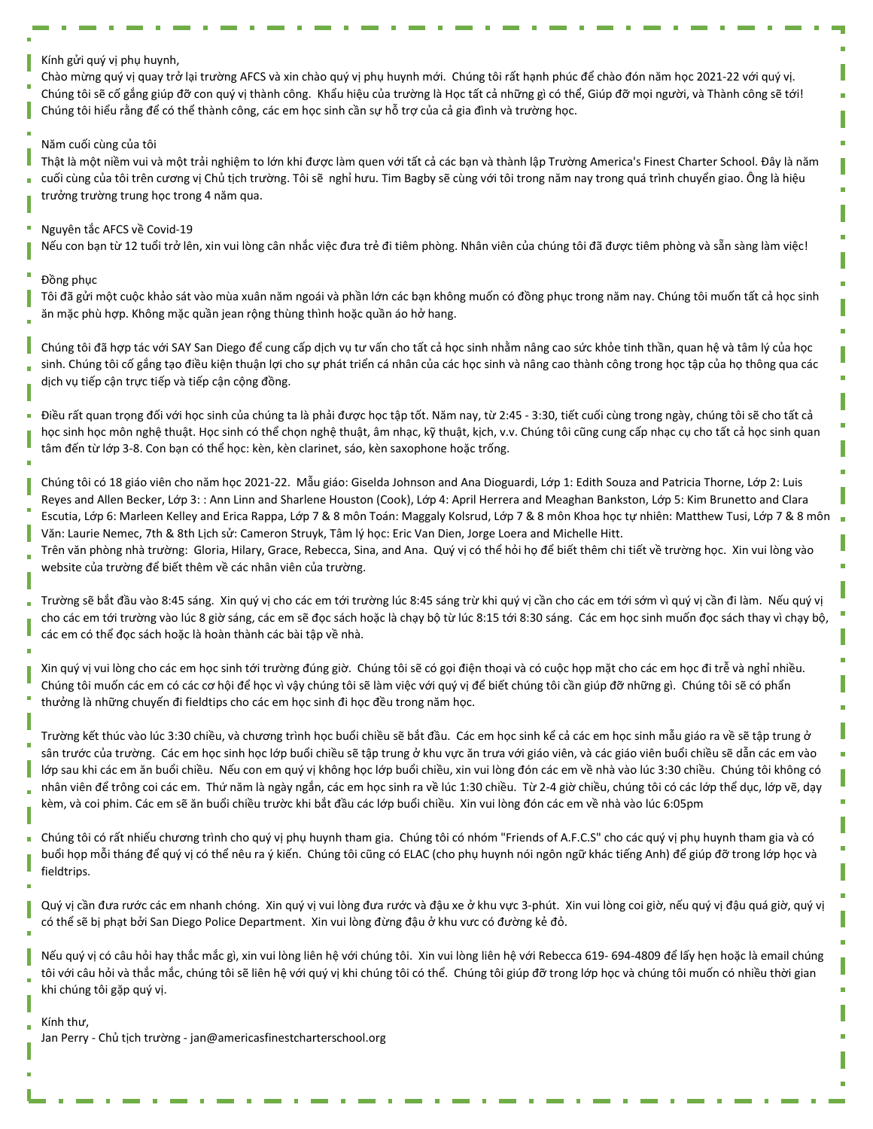#### Kính gửi quý vị phụ huynh,

Chào mừng quý vị quay trở lại trường AFCS và xin chào quý vị phụ huynh mới. Chúng tôi rất hạnh phúc để chào đón năm học 2021-22 với quý vị. Chúng tôi sẽ cố gắng giúp đỡ con quý vị thành công. Khẩu hiệu của trường là Học tất cả những gì có thể, Giúp đỡ mọi người, và Thành công sẽ tới! Chúng tôi hiểu rằng để có thể thành công, các em học sinh cần sự hỗ trợ của cả gia đình và trường học.

#### Năm cuối cùng của tôi

Thật là một niềm vui và một trải nghiệm to lớn khi được làm quen với tất cả các bạn và thành lập Trường America's Finest Charter School. Đây là năm cuối cùng của tôi trên cương vị Chủ tịch trường. Tôi sẽ nghỉ hưu. Tim Bagby sẽ cùng với tôi trong năm nay trong quá trình chuyển giao. Ông là hiệu trưởng trường trung học trong 4 năm qua.

#### Nguyên tắc AFCS về Covid-19

Nếu con bạn từ 12 tuổi trở lên, xin vui lòng cân nhắc việc đưa trẻ đi tiêm phòng. Nhân viên của chúng tôi đã được tiêm phòng và sẵn sàng làm việc!

#### Đồng phục

Tôi đã gửi một cuộc khảo sát vào mùa xuân năm ngoái và phần lớn các bạn không muốn có đồng phục trong năm nay. Chúng tôi muốn tất cả học sinh ăn mặc phù hợp. Không mặc quần jean rộng thùng thình hoặc quần áo hở hang.

Chúng tôi đã hợp tác với SAY San Diego để cung cấp dịch vụ tư vấn cho tất cả học sinh nhằm nâng cao sức khỏe tinh thần, quan hệ và tâm lý của học sinh. Chúng tôi cố gắng tạo điều kiện thuận lợi cho sự phát triển cá nhân của các học sinh và nâng cao thành công trong học tập của họ thông qua các dịch vụ tiếp cận trực tiếp và tiếp cận cộng đồng.

Điều rất quan trọng đối với học sinh của chúng ta là phải được học tập tốt. Năm nay, từ 2:45 - 3:30, tiết cuối cùng trong ngày, chúng tôi sẽ cho tất cả học sinh học môn nghệ thuật. Học sinh có thể chọn nghệ thuật, âm nhạc, kỹ thuật, kịch, v.v. Chúng tôi cũng cung cấp nhạc cụ cho tất cả học sinh quan tâm đến từ lớp 3-8. Con bạn có thể học: kèn, kèn clarinet, sáo, kèn saxophone hoặc trống.

Chúng tôi có 18 giáo viên cho năm học 2021-22. Mẫu giáo: Giselda Johnson and Ana Dioguardi, Lớp 1: Edith Souza and Patricia Thorne, Lớp 2: Luis Reyes and Allen Becker, Lớp 3: : Ann Linn and Sharlene Houston (Cook), Lớp 4: April Herrera and Meaghan Bankston, Lớp 5: Kim Brunetto and Clara Escutia, Lớp 6: Marleen Kelley and Erica Rappa, Lớp 7 & 8 môn Toán: Maggaly Kolsrud, Lớp 7 & 8 môn Khoa học tự nhiên: Matthew Tusi, Lớp 7 & 8 môn Văn: Laurie Nemec, 7th & 8th Lịch sử: Cameron Struyk, Tâm lý học: Eric Van Dien, Jorge Loera and Michelle Hitt.

Trên văn phòng nhà trường: Gloria, Hilary, Grace, Rebecca, Sina, and Ana. Quý vị có thể hỏi họ để biết thêm chi tiết về trường học. Xin vui lòng vào website của trường để biết thêm về các nhân viên của trường.

Trường sẽ bắt đầu vào 8:45 sáng. Xin quý vị cho các em tới trường lúc 8:45 sáng trừ khi quý vị cần cho các em tới sớm vì quý vị cần đi làm. Nếu quý vị cho các em tới trường vào lúc 8 giờ sáng, các em sẽ đọc sách hoặc là chạy bộ từ lúc 8:15 tới 8:30 sáng. Các em học sinh muốn đọc sách thay vì chạy bộ, các em có thể đọc sách hoặc là hoàn thành các bài tập về nhà.

Xin quý vị vui lòng cho các em học sinh tới trường đúng giờ. Chúng tôi sẽ có gọi điện thoại và có cuộc họp mặt cho các em học đi trễ và nghỉ nhiều. Chúng tôi muốn các em có các cơ hội để học vì vậy chúng tôi sẽ làm việc với quý vị để biết chúng tôi cần giúp đỡ những gì. Chúng tôi sẽ có phẩn thưởng là những chuyến đi fieldtips cho các em học sinh đi học đều trong năm học.

Trường kết thúc vào lúc 3:30 chiều, và chương trình học buổi chiều sẽ bắt đầu. Các em học sinh kể cả các em học sinh mẫu giáo ra về sẽ tập trung ở sân trước của trường. Các em học sinh học lớp buổi chiều sẽ tập trung ở khu vực ăn trưa với giáo viên, và các giáo viên buổi chiều sẽ dẫn các em vào lớp sau khi các em ăn buổi chiều. Nếu con em quý vị không học lớp buổi chiều, xin vui lòng đón các em về nhà vào lúc 3:30 chiều. Chúng tôi không có nhân viên để trông coi các em. Thứ năm là ngày ngắn, các em học sinh ra về lúc 1:30 chiều. Từ 2-4 giờ chiều, chúng tôi có các lớp thể dục, lớp vẽ, dạy kèm, và coi phim. Các em sẽ ăn buổi chiều trườc khi bắt đầu các lớp buổi chiều. Xin vui lòng đón các em về nhà vào lúc 6:05pm

Chúng tôi có rất nhiếu chương trình cho quý vị phụ huynh tham gia. Chúng tôi có nhóm "Friends of A.F.C.S" cho các quý vị phụ huynh tham gia và có buổi họp mỗi tháng để quý vị có thể nêu ra ý kiến. Chúng tôi cũng có ELAC (cho phụ huynh nói ngôn ngữ khác tiếng Anh) để giúp đỡ trong lớp học và fieldtrips.

Quý vị cần đưa rước các em nhanh chóng. Xin quý vị vui lòng đưa rước và đậu xe ở khu vực 3-phút. Xin vui lòng coi giờ, nếu quý vị đậu quá giờ, quý vị có thể sẽ bị phạt bởi San Diego Police Department. Xin vui lòng đừng đậu ở khu vưc có đường kẻ đỏ.

Nếu quý vị có câu hỏi hay thắc mắc gì, xin vui lòng liên hệ với chúng tôi. Xin vui lòng liên hệ với Rebecca 619- 694-4809 để lấy hẹn hoặc là email chúng tôi với câu hỏi và thắc mắc, chúng tôi sẽ liên hệ với quý vị khi chúng tôi có thể. Chúng tôi giúp đỡ trong lớp học và chúng tôi muốn có nhiều thời gian khi chúng tôi gặp quý vị.

#### Kính thư,

Jan Perry - Chủ tịch trường - jan@americasfinestcharterschool.org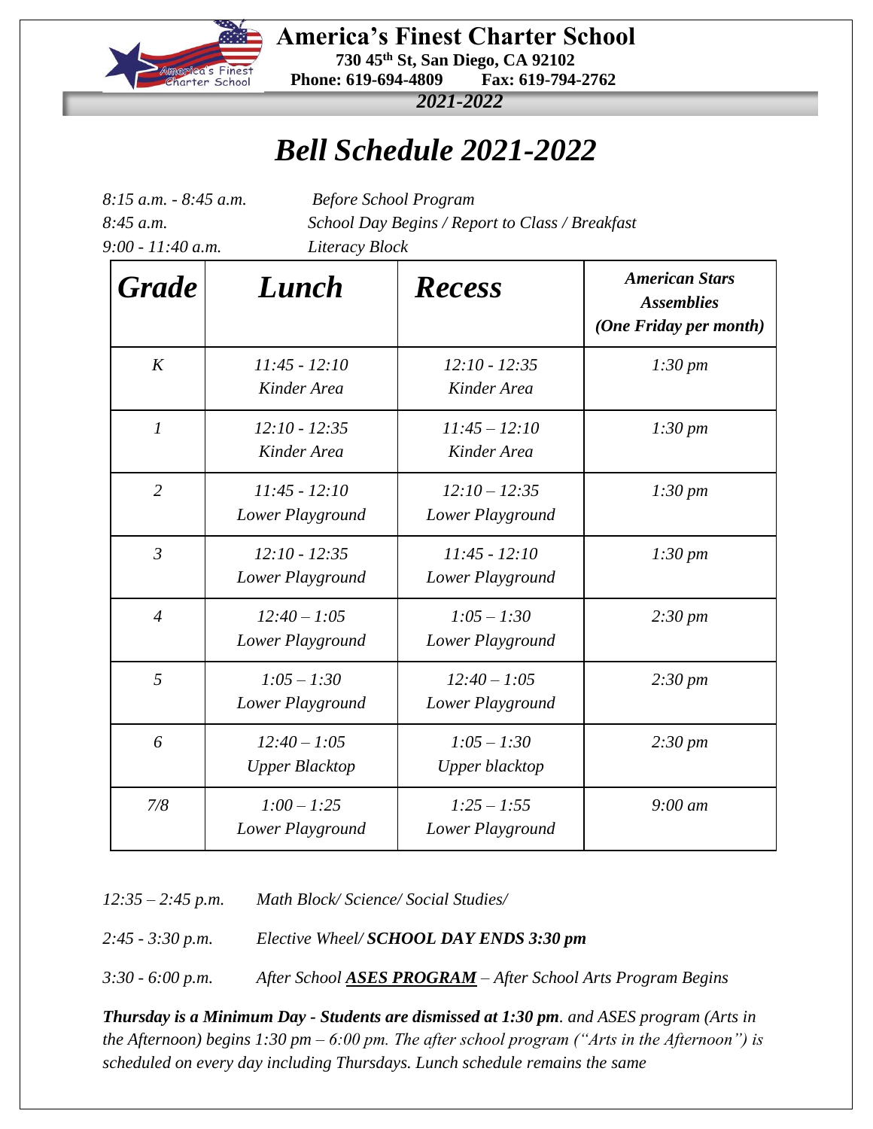

 **America's Finest Charter School 730 45th St, San Diego, CA 92102 Phone: 619-694-4809 Fax: 619-794-2762**

*2021-2022*

## *Bell Schedule 2021-2022*

| 8:15 a.m. - 8:45 a.m.<br>8:45 a.m.<br>$9:00 - 11:40$ a.m. |                                         | <b>Before School Program</b><br>School Day Begins / Report to Class / Breakfast<br>Literacy Block |                                                                      |  |  |  |  |  |  |  |  |  |  |
|-----------------------------------------------------------|-----------------------------------------|---------------------------------------------------------------------------------------------------|----------------------------------------------------------------------|--|--|--|--|--|--|--|--|--|--|
| <b>Grade</b>                                              | Lunch                                   | <b>Recess</b>                                                                                     | <b>American Stars</b><br><b>Assemblies</b><br>(One Friday per month) |  |  |  |  |  |  |  |  |  |  |
| K                                                         | $11:45 - 12:10$<br>Kinder Area          | $12:10 - 12:35$<br>Kinder Area                                                                    | $1:30 \text{ pm}$                                                    |  |  |  |  |  |  |  |  |  |  |
| $\boldsymbol{l}$                                          | $12:10 - 12:35$<br>Kinder Area          | $11:45 - 12:10$<br>Kinder Area                                                                    | $1:30 \, \text{pm}$                                                  |  |  |  |  |  |  |  |  |  |  |
| $\overline{2}$                                            | $11:45 - 12:10$<br>Lower Playground     | $12:10 - 12:35$<br>Lower Playground                                                               | $1:30 \, pm$                                                         |  |  |  |  |  |  |  |  |  |  |
| $\mathfrak{Z}$                                            | $12:10 - 12:35$<br>Lower Playground     | $11:45 - 12:10$<br>Lower Playground                                                               | $1:30 \, \text{pm}$                                                  |  |  |  |  |  |  |  |  |  |  |
| $\overline{4}$                                            | $12:40 - 1:05$<br>Lower Playground      | $1:05 - 1:30$<br>Lower Playground                                                                 | $2:30 \, \text{pm}$                                                  |  |  |  |  |  |  |  |  |  |  |
| 5                                                         | $1:05 - 1:30$<br>Lower Playground       | $12:40 - 1:05$<br>Lower Playground                                                                | $2:30 \, \text{pm}$                                                  |  |  |  |  |  |  |  |  |  |  |
| 6                                                         | $12:40 - 1:05$<br><b>Upper Blacktop</b> | $1:05 - 1:30$<br>Upper blacktop                                                                   | $2:30 \text{ pm}$                                                    |  |  |  |  |  |  |  |  |  |  |
| 7/8                                                       | $1:00 - 1:25$<br>Lower Playground       | $1:25 - 1:55$<br>Lower Playground                                                                 | $9:00 \text{ }$ am                                                   |  |  |  |  |  |  |  |  |  |  |

*12:35 – 2:45 p.m. Math Block/ Science/ Social Studies/* 

*2:45 - 3:30 p.m. Elective Wheel/ SCHOOL DAY ENDS 3:30 pm*

*3:30 - 6:00 p.m. After School ASES PROGRAM – After School Arts Program Begins*

*Thursday is a Minimum Day - Students are dismissed at 1:30 pm. and ASES program (Arts in the Afternoon) begins 1:30 pm – 6:00 pm. The after school program ("Arts in the Afternoon") is scheduled on every day including Thursdays. Lunch schedule remains the same*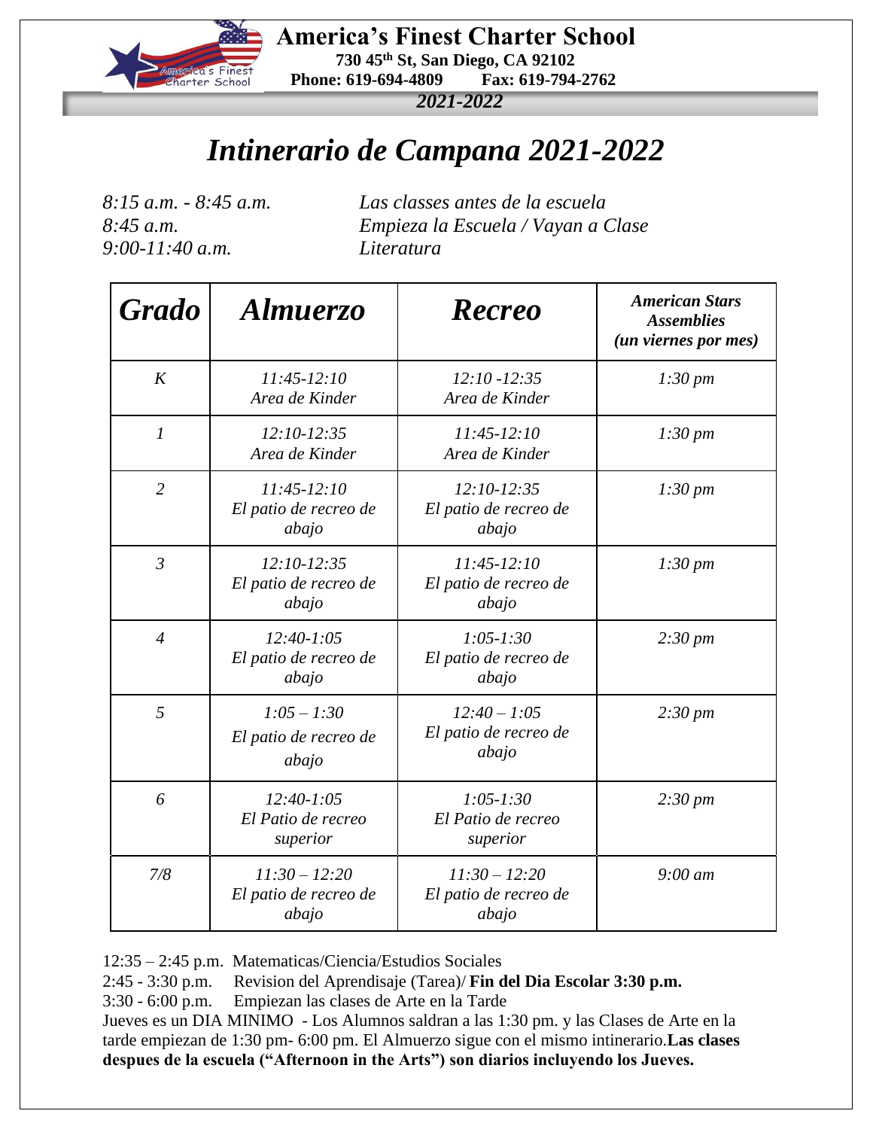

 **America's Finest Charter School 730 45th St, San Diego, CA 92102 Phone: 619-694-4809 Fax: 619-794-2762**

*2021-2022*

## *Intinerario de Campana 2021-2022*

*9:00-11:40 a.m. Literatura*

*8:15 a.m. - 8:45 a.m. Las classes antes de la escuela 8:45 a.m. Empieza la Escuela / Vayan a Clase* 

| <b>Grado</b>   | Almuerzo                                          | <b>Recreo</b>                                     | <b>American Stars</b><br><b>Assemblies</b><br>(un viernes por mes) |  |  |  |  |  |  |
|----------------|---------------------------------------------------|---------------------------------------------------|--------------------------------------------------------------------|--|--|--|--|--|--|
| K              | $11:45-12:10$<br>Area de Kinder                   | $12:10 - 12:35$<br>Area de Kinder                 | $1:30 \, \text{pm}$                                                |  |  |  |  |  |  |
| $\mathfrak{1}$ | $12:10-12:35$<br>Area de Kinder                   | $11:45-12:10$<br>Area de Kinder                   | $1:30 \, \text{pm}$                                                |  |  |  |  |  |  |
| $\overline{2}$ | $11:45-12:10$<br>El patio de recreo de<br>abajo   | $12:10-12:35$<br>El patio de recreo de<br>abajo   | $1:30 \, \text{pm}$                                                |  |  |  |  |  |  |
| $\mathfrak{Z}$ | $12:10-12:35$<br>El patio de recreo de<br>abajo   | $11:45-12:10$<br>El patio de recreo de<br>abajo   | $1:30 \, \text{pm}$                                                |  |  |  |  |  |  |
| $\overline{4}$ | $12:40-1:05$<br>El patio de recreo de<br>abajo    | $1:05 - 1:30$<br>El patio de recreo de<br>abajo   | $2:30 \, \text{pm}$                                                |  |  |  |  |  |  |
| 5              | $1:05 - 1:30$<br>El patio de recreo de<br>abajo   | $12:40 - 1:05$<br>El patio de recreo de<br>abajo  | $2:30 \, pm$                                                       |  |  |  |  |  |  |
| 6              | $12:40-1:05$<br>El Patio de recreo<br>superior    | $1:05 - 1:30$<br>El Patio de recreo<br>superior   | $2:30 \, \text{pm}$                                                |  |  |  |  |  |  |
| 7/8            | $11:30 - 12:20$<br>El patio de recreo de<br>abajo | $11:30 - 12:20$<br>El patio de recreo de<br>abajo | $9:00 \text{ }$ am                                                 |  |  |  |  |  |  |

12:35 – 2:45 p.m. Matematicas/Ciencia/Estudios Sociales

2:45 - 3:30 p.m. Revision del Aprendisaje (Tarea)/ **Fin del Dia Escolar 3:30 p.m.**

3:30 - 6:00 p.m. Empiezan las clases de Arte en la Tarde

Jueves es un DIA MINIMO - Los Alumnos saldran a las 1:30 pm. y las Clases de Arte en la tarde empiezan de 1:30 pm- 6:00 pm. El Almuerzo sigue con el mismo intinerario.**Las clases despues de la escuela ("Afternoon in the Arts") son diarios incluyendo los Jueves.**